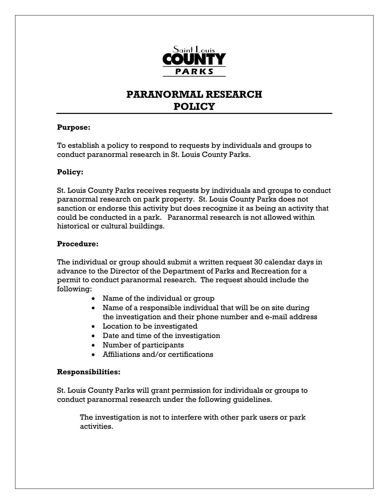

# **PARANORMAL RESEARCH POLICY**

### **Purpose:**

To establish a policy to respond to requests by individuals and groups to conduct paranormal research in St. Louis County Parks.

## **Policy:**

St. Louis County Parks receives requests by individuals and groups to conduct paranormal research on park property. St. Louis County Parks does not sanction or endorse this activity but does recognize it as being an activity that could be conducted in a park. Paranormal research is not allowed within historical or cultural buildings.

## **Procedure:**

The individual or group should submit a written request 30 calendar days in advance to the Director of the Department of Parks and Recreation for a permit to conduct paranormal research. The request should include the following:

- Name of the individual or group
- Name of a responsible individual that will be on site during the investigation and their phone number and e-mail address
- Location to be investigated
- Date and time of the investigation
- Number of participants
- Affiliations and/or certifications

### **Responsibilities:**

St. Louis County Parks will grant permission for individuals or groups to conduct paranormal research under the following guidelines.

The investigation is not to interfere with other park users or park activities.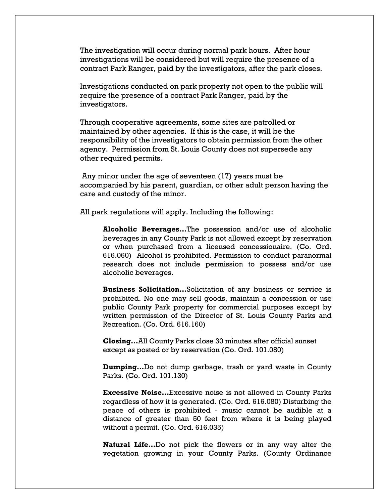The investigation will occur during normal park hours. After hour investigations will be considered but will require the presence of a contract Park Ranger, paid by the investigators, after the park closes.

Investigations conducted on park property not open to the public will require the presence of a contract Park Ranger, paid by the investigators.

Through cooperative agreements, some sites are patrolled or maintained by other agencies. If this is the case, it will be the responsibility of the investigators to obtain permission from the other agency. Permission from St. Louis County does not supersede any other required permits.

 Any minor under the age of seventeen (17) years must be accompanied by his parent, guardian, or other adult person having the care and custody of the minor.

All park regulations will apply. Including the following:

**Alcoholic Beverages…**The possession and/or use of alcoholic beverages in any County Park is not allowed except by reservation or when purchased from a licensed concessionaire. (Co. Ord. 616.060) Alcohol is prohibited. Permission to conduct paranormal research does not include permission to possess and/or use alcoholic beverages.

**Business Solicitation…**Solicitation of any business or service is prohibited. No one may sell goods, maintain a concession or use public County Park property for commercial purposes except by written permission of the Director of St. Louis County Parks and Recreation. (Co. Ord. 616.160)

**Closing…**All County Parks close 30 minutes after official sunset except as posted or by reservation (Co. Ord. 101.080)

**Dumping…**Do not dump garbage, trash or yard waste in County Parks. (Co. Ord. 101.130)

**Excessive Noise…**Excessive noise is not allowed in County Parks regardless of how it is generated. (Co. Ord. 616.080) Disturbing the peace of others is prohibited - music cannot be audible at a distance of greater than 50 feet from where it is being played without a permit. (Co. Ord. 616.035)

**Natural Life…**Do not pick the flowers or in any way alter the vegetation growing in your County Parks. (County Ordinance